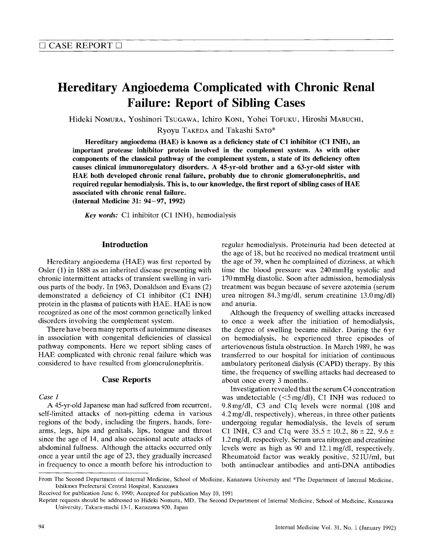# Hereditary Angioedema Complicated with Chronic Renal Failure: Report of Sibling Cases

Hideki Nomura, Yoshinori Tsugawa, Ichiro Koni, Yohei Tofuku, Hiroshi Mabuchi,

Ryoyu TAKEDA and Takashi SATO\*

Hereditary angioedema (HAE) is known as a deficiency state of C1 inhibitor (C1 INH), an important protease inhibitor protein involved in the complement system. As with other components of the classical pathway of the complement system, a state of its deficiency often causes clinical immunoregulatory disorders. A 45-yr-old brother and a 63-yr-old sister with HAE both developed chronic renal failure, probably due to chronic glomerulonephritis, and required regular hemodialysis. This is, to our knowledge, the first report of sibling cases of  $HAE$ associated with chronic renal failure.

(Internal Medicine 31:  $94-97$ , 1992)

Key words: C1 inhibitor (C1 INH), hemodialysis

# **Introduction**

Hereditary angioedema (HAE) was first reported by Osler (1) in 1888 as an inherited disease presenting with chronic intermittent attacks of transient swelling in various parts of the body. In 1963, Donaldson and Evans (2) demonstrated a deficiency of C1 inhibitor (C1 INH) protein in the plasma of patients with HAE. HAE is now recognized as one of the most common genetically linked disorders involving the complement system.

There have been many reports of autoimmune diseases in association with congenital deficiencies of classical pathway components. Here we report sibling cases of HAE complicated with chronic renal failure which was considered to have resulted from glomerulonephritis.  $\mathcal{C}$  and  $\mathcal{C}$ 

## **Case Reports**

Case 1

A 45-yr-old Japanese man had suffered from recurrent, self-limited attacks of non-pitting edema in various regions of the body, including the fingers, hands, forearms, legs, hips and genitals, lips, tongue and throat since the age of 14, and also occasional acute attacks of abdominal fullness. Although the attacks occurred only once a year until the age of 23, they gradually increased in frequency to once a month before his introduction to

regular hemodialysis. Proteinuria had been detected at the age of 18, but he received no medical treatment until<br>the age of 39, when he complained of dizziness, at which time the blood pressure was 240 mmHg systolic and 170 mmHg diastolic. Soon after admission, hemodialysis treatment was begun because of severe azotemia (serum urea nitrogen  $84.3 \text{ mg/dl}$ , serum creatinine  $13.0 \text{ mg/dl}$ and anuria.

Although the frequency of swelling attacks increased to once a week after the initiation of hemodialysis, the degree of swelling became milder. During the 6 vr on hemodialysis, he experienced three episodes of arteriovenous fistula obstruction. In March 1989, he was transferred to our hospital for initiation of continuous ambulatory peritoneal dialysis (CAPD) therapy. By this time, the frequency of swelling attacks had decreased to about once every 3 months.

Investigation revealed that the serum C4 concentration was undetectable  $(<5 \text{ mg/dl})$ , C1 INH was reduced to 9.8 mg/dl, C3 and C1q levels were normal (108 and 9.8 mg/dl,  $\mathcal{O}$  and Clq levels were normal  $\mathcal{O}$  and  $\mathcal{O}$  and  $\mathcal{O}$  $4.2 \text{ mg/m}$ , respectively), whereas, in three other patients undergoing regular hemodialysis, the levels of serum C1 INH, C3 and C1q were  $35.5 \pm 10.2$ ,  $86 \pm 22$ ,  $9.6 \pm 10.2$  $1.2 \,\text{mg/dl}$ , respectively. Serum urea nitrogen and creatinine levels were as high as  $90$  and  $12.1 \text{ mg/dl}$ , respectively. levels were as high as 90 and 12.1mg/dl, respectively. Rheumatoid factor was weakly positive, 52IU/ml, but both antinuclear antibodies and anti-DNA antibodies

From The Second Department of Internal Medicine, School of Medicine, Kanazawa University and \*The Department of Internal Medicine, Ishikawa Prefectural Central Hospital, Kanazawa

Received for publication June 6, 1990; Accepted for publication May 10, 1991

Reprint requests should be addressed to Hideki Nomura, MD, The Second Department of Internal Medicine, School of Medicine, Kanazawa University, Takara-machi 13-1, Kanazawa 920, Japan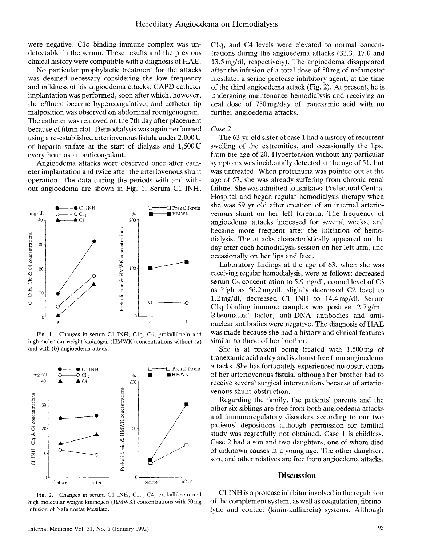were negative. Clq binding immune complex was un detectable in the serum. These results and the previous clinical history were compatible with a diagnosis of HAE.

clinical history were compatible with a diagnosis of HA No particular prophylactic treatment for the was deemed necessary considering the low frequency<br>and mildness of his angioedema attacks. CAPD catheter implantation was performed, soon after which, however, the effluent became hypercoagulative, and catheter tip malposition was observed on abdominal roentgenogram. The catheter was removed on the 7th day after placement because of fibrin clot. Hemodialysis was again performed<br>using a re-established arteriovenous fistula under 2,000 U of heparin sulfate at the start of dialysis and  $1,500$  U every hour as an anticoagulant.

Angioedema attacks were observed once after catheter implantation and twice after the arteriovenous shunt operation. The data during the periods with and without angioedema are shown in Fig. 1. Serum C1 INH,



Fig. 1. Changes in serum Cl INH, Clq, C4, prekallikrein and high molecular weight kininogen (HMWK) concentrations without (a) and with (b) angioedema attack.



Fig. 2. Changes in serum C1 INH, C1q, C4, prekallikrein and infusion of Nafamostat Mesilate.

Clq, and C4 levels were elevated to normal concen trations during the angioedema attacks (31.3, 17.0 and 13.5 mg/dl, respectively). The angioedema disappeared after the infusion of a total dose of  $50 \text{ mg}$  of nafamostat mesilate, a serine protease inhibitory agent, at the time of the third angioedema attack (Fig. 2). At present, he is undergoing maintenance hemodialysis and receiving an oral dose of  $750 \text{ mg/day}$  of tranexamic acid with no further angioedema attacks.

#### $\overline{a}$ Case 2

The 63-yr-old sister of case 1 had a history of recurrent swelling of the extremities, and occasionally the lips, from the age of 20. Hypertension without any particular symptoms was incidentally detected at the age of 51, but was untreated. When proteinuria was pointed out at the age of 57, she was already suffering from chronic renal failure. She was admitted to Ishikawa Prefectural Central Hospital and began regular hemodialysis therapy when she was 59 yr old after creation of an internal arteriovenous shunt on her left forearm. The frequency of angioedema attacks increased for several weeks, and became more frequent after the initiation of hemodialysis. The attacks characteristically appeared on the day after each hemodialysis session on her left arm, and occasionally on her lips and face.

Laboratory findings at the age of 63, when she receiving regular hemodialysis, were as follows: decreased serum C4 concentration to 5.9 mg/dl, normal level of C3 as high as  $56.2 \text{ mg/dl}$ , slightly decreased C2 level to 1.2 mg/dl, decreased C1 INH to  $14.4$  mg/dl. Serum C1q binding immune complex was positive,  $2.7$  g/ml. Rheumatoid factor, anti-DNA antibodies and antinuclear antibodies were negative. The diagnosis of HAE was made because she had a history and clinical features similar to those of her brother.

She is at present being treated with  $1,500 \text{ mg}$  of tranexamic acid a day and is alomst free from angioedema of her arteriovenous fistula, although her brother had to receive several surgical interventions because of arteriovenous shunt obstruction.

Regarding the family, the patients' parents and the other six siblings are free from both angioedema attacks and immunoregulatory disorders according to our two patients' depositions although permission for familial study was regretfully not obtained. Case 1 is childless. Case 2 had a son and two daughters, one of whom died. of unknown causes at a young age. The other daughter, son, and other relatives are free from angioedema attacks.

### **Discussion**

high molecular weight kininogen (HMWK) concentrations with 50 mg of the complement system, as well as coagulation, fibrino-Cl INH is a protease inhibitor involved in the regulation of the complement system, as well as coagulation, fibrin<br>Intia and agate of (Isinin Italiismin), systems of Islam lytic and contact (kinin-kallikrein) systems. Although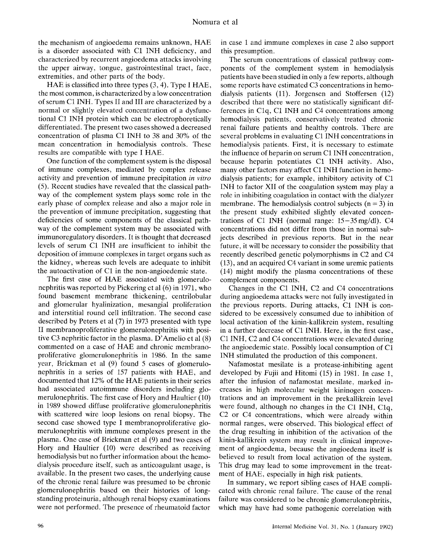the mechanism of angioedema remains unknown, HAE is a disorder associated with Cl INH deficiency, and characterized by recurrent angioedema attacks involving extremities, and other parts of the body.

HAE is classified into three types  $(3, 4)$ . Type I HAE, the most common, is characterized by a low concentration<br>of serum C1 INH. Types II and III are characterized by a normal or slightly elevated concentration of a dysfunctional C1 INH protein which can be electrophoretically differentiated. The present two cases showed a decreased concentration of plasma C1 INH to 38 and 30% of the mean concentration in hemodialysis controls. These results are compatible with type I HAE.

One function of the complement system is the disposal<br>of immune complexes, mediated by complex release activity and prevention of immune precipitation in vitro  $(5)$ . Recent studies have revealed that the classical pathway of the complement system plays some role in the early phase of complex release and also a major role in the prevention of immune precipitation, suggesting that deficiencies of some components of the classical pathway of the complement system may be associated with immunoregulatory disorders. It is thought that decreased levels of serum C1 INH are insufficient to inhibit the deposition of immune complexes in target organs such as the kidney, whereas such levels are adequate to inhibit the autoactivation of C1 in the non-angioedemic state. the autoacuvation of  $C1$  in the hon-anglocustine s

The first case of HAE associated with glomeno-<br>non-angle properted by Dickoring et al.  $(6)$  in 107 nephritis was reported by Pickering et al (6) in 1971, who found basement membrane thickening, centrilobular<br>and glomerular hyalinization, mesangial proliferation and interstitial round cell infiltration. The second case described by Peters et al  $(7)$  in 1973 presented with type II membranoproliferative glomerulonephritis with positive C3 nephritic factor in the plasma. D'Amelio et al  $(8)$ commented on a case of HAE and chronic membranoproliferative glomerulonephritis in 1986. In the same year, Brickman et al  $(9)$  found 5 cases of glomerulo-<br>nephritis in a series of 157 patients with HAE, and documented that 12% of the HAE patients in their series had associated autoimmune disorders including glomerulonephritis. The first case of Hory and Haultier (10) in 1989 showed diffuse proliferative glomerulone phritis with scattered wire loop lesions on renal biopsy. The second case showed type I membranoproliferative glomerulonephritis with immune complexes present in the plasma. One case of Brickman et al (9) and two cases of Hory and Haultier (10) were described as receiving<br>hemodialysis but no further information about the hemodialysis procedure itself, such as anticoagulant usage, is available. In the present two cases, the underlying cause of the chronic renal failure was presumed to be chronic glomerulonephritis based on their histories of longstanding proteinuria, although renal biopsy examinations were not performed. The presence of rheumatoid factor

in case 1 and immune complexes in case 2 also support this presumption.

The serum concentrations of classical pathway com ponents of the complement system in hemodialysis patients have been studied in only a few reports, although some reports have estimated C3 concentrations in hemodialysis patients  $(11)$ . Jorgensen and Stoffersen  $(12)$ described that there were no statistically significant differences in C<sub>1</sub>q, C<sub>1</sub> INH and C<sub>4</sub> concentrations among hemodialysis patients, conservatively treated chronic renal failure patients and healthy controls. There are several problems in evaluating C1 INH concentrations in hemodialysis patients. First, it is necessary to estimate the influence of heparin on serum C1 INH concentration, because heparin potentiates C1 INH activity. Also, many other factors may affect C1 INH function in hemo-<br>dialysis patients; for example, inhibitory activity of C1 INH to factor XII of the coagulation system may play a role in inhibiting coagulation in contact with the dialyzer membrane. The hemodialysis control subjects ( $n = 3$ ) in the present study exhibited slightly elevated concentrations of C1 INH (normal range:  $15-35 \text{ mg/dl}$ ). C4 concentrations did not differ from those in normal subjects described in previous reports. But in the near future, it will be necessary to consider the possibility that recently described genetic polymorphisms in C2 and C4  $f(13)$ , and an acquired C4 variant in some uremic patients  $f(14)$  might modify the plasma concentrations of these complement components.

 $\frac{1}{\text{Chonges in the C1 INU}}$  C<sub>2</sub> and C<sub>4</sub> concentration during opgioodams of tooks were not fully investigations of the process the previous reports. During attacks, C1 INH Changes in the Cl INH,  $C<sub>2</sub>$  and C4 concentrations during angioedema attacks were not fully investigate sidered to be excessively consumed due to inhibition of local activation of the kinin-kallikrein system, resulting in a further decrease of C1 INH. Here, in the first case, C1 INH, C2 and C4 concentrations were elevated during the angioedemic state. Possibly local consumption of  $C1$ INH stimulated the production of this component.

IN STRING THE PRODUCTION OF this component. Nafamostat mesilate is a protease-inhibi developed by Fujii and Hitomi (15) in 1981. In case 1, after the infusion of nafamostat mesilate, marked increases in high molecular weight kininogen concentrations and an improvement in the prekallikrein level were found, although no changes in the C1 INH, C1q, C2 or C4 concentrations, which were already within normal ranges, were observed. This biological effect of the drug resulting in inhibition of the activation of the kinin-kallikrein system may result in clinical improvement of angioedema, because the angioedema itself is believed to result from local activation of the system. This drug may lead to some improvement in the treatment of HAE, especially in high risk patients.

In summary, we report sibling cases of HAE compli cated with chronic renal failure. The cause of the renal failure was considered to be chronic glomerulone ohiritis. failure was considered to be chronic glomerulonephr where may have had some pathogenic correlation